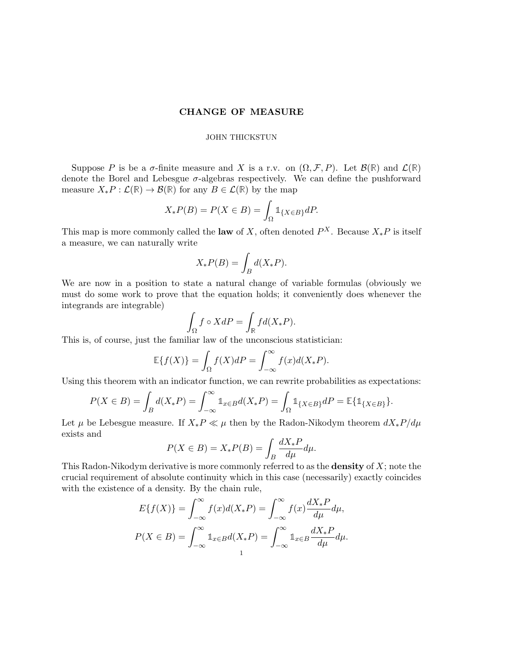## CHANGE OF MEASURE

## JOHN THICKSTUN

Suppose P is be a  $\sigma$ -finite measure and X is a r.v. on  $(\Omega, \mathcal{F}, P)$ . Let  $\mathcal{B}(\mathbb{R})$  and  $\mathcal{L}(\mathbb{R})$ denote the Borel and Lebesgue  $\sigma$ -algebras respectively. We can define the pushforward measure  $X_*P : \mathcal{L}(\mathbb{R}) \to \mathcal{B}(\mathbb{R})$  for any  $B \in \mathcal{L}(\mathbb{R})$  by the map

$$
X_*P(B) = P(X \in B) = \int_{\Omega} \mathbb{1}_{\{X \in B\}} dP.
$$

This map is more commonly called the **law** of X, often denoted  $P^X$ . Because  $X_*P$  is itself a measure, we can naturally write

$$
X_* P(B) = \int_B d(X_* P).
$$

We are now in a position to state a natural change of variable formulas (obviously we must do some work to prove that the equation holds; it conveniently does whenever the integrands are integrable)

$$
\int_{\Omega} f \circ X dP = \int_{\mathbb{R}} f d(X_* P).
$$

This is, of course, just the familiar law of the unconscious statistician:

$$
\mathbb{E}\{f(X)\} = \int_{\Omega} f(X)dP = \int_{-\infty}^{\infty} f(x)d(X_*P).
$$

Using this theorem with an indicator function, we can rewrite probabilities as expectations:

$$
P(X \in B) = \int_B d(X_*P) = \int_{-\infty}^{\infty} \mathbb{1}_{x \in B} d(X_*P) = \int_{\Omega} \mathbb{1}_{\{X \in B\}} dP = \mathbb{E}\{\mathbb{1}_{\{X \in B\}}\}.
$$

Let  $\mu$  be Lebesgue measure. If  $X_*P \ll \mu$  then by the Radon-Nikodym theorem  $dX_*P/d\mu$ exists and

$$
P(X \in B) = X_* P(B) = \int_B \frac{dX_* P}{d\mu} d\mu.
$$

This Radon-Nikodym derivative is more commonly referred to as the **density** of  $X$ ; note the crucial requirement of absolute continuity which in this case (necessarily) exactly coincides with the existence of a density. By the chain rule,

$$
E\{f(X)\} = \int_{-\infty}^{\infty} f(x)d(X_*P) = \int_{-\infty}^{\infty} f(x)\frac{dX_*P}{d\mu}d\mu,
$$
  

$$
P(X \in B) = \int_{-\infty}^{\infty} \mathbb{1}_{x \in B}d(X_*P) = \int_{-\infty}^{\infty} \mathbb{1}_{x \in B}\frac{dX_*P}{d\mu}d\mu.
$$